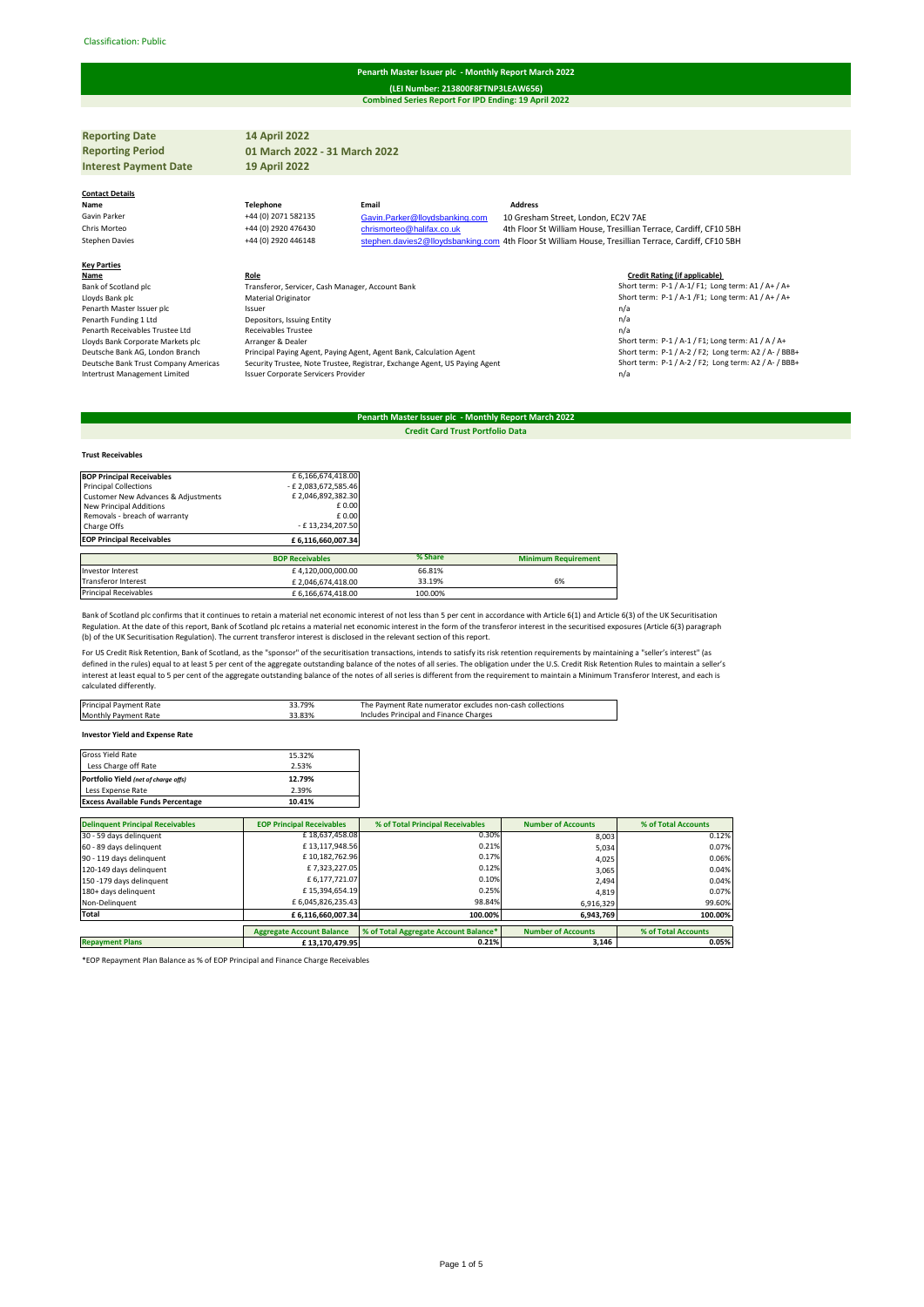#### Classification: Public#

## **Penarth Master Issuer plc - Monthly Report March 2022**

**Combined Series Report For IPD Ending: 19 April 2022 (LEI Number: 213800F8FTNP3LEAW656)**

| <b>Reporting Date</b>                | <b>14 April 2022</b>                             |                                                                                                     |                                     |                                                                   |
|--------------------------------------|--------------------------------------------------|-----------------------------------------------------------------------------------------------------|-------------------------------------|-------------------------------------------------------------------|
| <b>Reporting Period</b>              | 01 March 2022 - 31 March 2022                    |                                                                                                     |                                     |                                                                   |
| <b>Interest Payment Date</b>         | <b>19 April 2022</b>                             |                                                                                                     |                                     |                                                                   |
|                                      |                                                  |                                                                                                     |                                     |                                                                   |
| <b>Contact Details</b>               |                                                  |                                                                                                     |                                     |                                                                   |
| Name                                 | <b>Telephone</b>                                 | Email                                                                                               | <b>Address</b>                      |                                                                   |
| Gavin Parker                         | +44 (0) 2071 582135                              | Gavin.Parker@lloydsbanking.com                                                                      | 10 Gresham Street, London, EC2V 7AE |                                                                   |
| Chris Morteo                         | +44 (0) 2920 476430                              | chrismorteo@halifax.co.uk                                                                           |                                     | 4th Floor St William House, Tresillian Terrace, Cardiff, CF10 5BH |
| <b>Stephen Davies</b>                | +44 (0) 2920 446148                              | stephen.davies2@lloydsbanking.com 4th Floor St William House, Tresillian Terrace, Cardiff, CF10 5BH |                                     |                                                                   |
|                                      |                                                  |                                                                                                     |                                     |                                                                   |
| <b>Key Parties</b>                   |                                                  |                                                                                                     |                                     |                                                                   |
| Name                                 | Role                                             |                                                                                                     |                                     | <b>Credit Rating (if applicable)</b>                              |
| Bank of Scotland plc                 | Transferor, Servicer, Cash Manager, Account Bank |                                                                                                     |                                     | Short term: P-1 / A-1/ F1; Long term: A1 / A+ / A+                |
| Lloyds Bank plc                      | <b>Material Originator</b>                       |                                                                                                     |                                     | Short term: P-1 / A-1 /F1; Long term: A1 / A+ / A+                |
| Penarth Master Issuer plc            | Issuer                                           |                                                                                                     |                                     | n/a                                                               |
| Penarth Funding 1 Ltd                | Depositors, Issuing Entity                       |                                                                                                     |                                     | n/a                                                               |
| Penarth Receivables Trustee Ltd      | <b>Receivables Trustee</b>                       |                                                                                                     |                                     | n/a                                                               |
| Lloyds Bank Corporate Markets plc    | Arranger & Dealer                                |                                                                                                     |                                     | Short term: P-1 / A-1 / F1; Long term: A1 / A / A+                |
| Deutsche Bank AG, London Branch      |                                                  | Principal Paying Agent, Paying Agent, Agent Bank, Calculation Agent                                 |                                     | Short term: P-1 / A-2 / F2; Long term: A2 / A- / BBB+             |
| Deutsche Bank Trust Company Americas |                                                  | Security Trustee, Note Trustee, Registrar, Exchange Agent, US Paying Agent                          |                                     | Short term: P-1 / A-2 / F2; Long term: A2 / A- / BBB+             |
| Intertrust Management Limited        | <b>Issuer Corporate Servicers Provider</b>       |                                                                                                     |                                     | n/a                                                               |
|                                      |                                                  |                                                                                                     |                                     |                                                                   |

## **Penarth Master Issuer plc - Monthly Report March 2022 Credit Card Trust Portfolio Data**

# **BOP Principal Receivables E** 6,166,674,418.00<br>
Principal Collections - **2**<br>
Customer New Advances & Adjustments **2,046,892,385.46**<br>
New Principal Additions **E 2,046,892.302.30**<br>
F 0.00 Removals - breach of warranty  $\begin{array}{c} \text{E 13.234.207.50} \\ \text{Change Offs} \end{array}$ Charge Offs - Engine Offs - Engine Offs - Engine Offs - Engine Offs - Engine Offs - Engine Offs - Engine Offs - Engine Offs - Engine Offs - Engine Offs - Engine Offs - Engine Offs - Engine Offs - Engine Offs - Engine Offs **EOP Principal Receivables BOP Receivables % Share Minimum Requirement** Investor Interest 66.81%<br>
Transferor Interest 66.81%<br>
Fansferor Interest 66.81%<br>
Fansferor Interest 63.19% f 2,046,674,418.00 33.19% 6% Principal Receivables <br>  $£ 6,166,674,418.00$  100.00%

Bank of Scotland plc confirms that it continues to retain a material net economic interest of not less than 5 per cent in accordance with Article 6(1) and Article 6(3) of the UK Securitisation Regulation. At the date of this report, Bank of Scotland plc retains a material net economic interest in the form of the transferor interest in the securitised exposures (Article 6(3) paragraph<br>(b) of the UK Securitisation

For US Credit Risk Retention, Bank of Scotland, as the "sponsor" of the securitisation transactions, intends to satisfy its risk retention requirements by maintaining a "seller's interest" (as defined in the rules) equal to at least 5 per cent of the aggregate outstanding balance of the notes of all series. The obligation under the U.S. Credit Risk Retention Rules to maintain a seller's<br>interest at least equal t calculated differently.

| Principal Payment Rate          | 33.79% | The Payment Rate numerator excludes non-cash collections |
|---------------------------------|--------|----------------------------------------------------------|
| <b>Monthly Payment Rate</b>     | 33.83% | Includes Principal and Finance Charges                   |
|                                 |        |                                                          |
| Investor Viold and Evennes Date |        |                                                          |

## **Investor Yield and Expense Rate**

**Trust Receivables**

| Gross Yield Rate                         | 15.32% |
|------------------------------------------|--------|
| Less Charge off Rate                     | 2.53%  |
| Portfolio Yield (net of charge offs)     | 12.79% |
| Less Expense Rate                        | 2.39%  |
| <b>Excess Available Funds Percentage</b> | 10.41% |

| <b>Delinquent Principal Receivables</b> | <b>EOP Principal Receivables</b> | % of Total Principal Receivables      | <b>Number of Accounts</b> | % of Total Accounts |
|-----------------------------------------|----------------------------------|---------------------------------------|---------------------------|---------------------|
| 30 - 59 days delinquent                 | £18,637,458.08                   | 0.30%                                 | 8.003                     | 0.12%               |
| 60 - 89 days delinquent                 | £13,117,948.56                   | 0.21%                                 | 5,034                     | 0.07%               |
| 90 - 119 days delinquent                | £10,182,762.96                   | 0.17%                                 | 4,025                     | 0.06%               |
| 120-149 days delinquent                 | £7,323,227.05                    | 0.12%                                 | 3.065                     | 0.04%               |
| 150 -179 days delinquent                | £6,177,721.07                    | 0.10%                                 | 2.494                     | 0.04%               |
| 180+ days delinquent                    | £15,394,654.19                   | 0.25%                                 | 4.819                     | 0.07%               |
| Non-Delinquent                          | £6,045,826,235.43                | 98.84%                                | 6,916,329                 | 99.60%              |
| Total                                   | £6,116,660,007.34                | 100.00%                               | 6,943,769                 | 100.00%             |
|                                         |                                  |                                       | <b>Number of Accounts</b> |                     |
|                                         | <b>Aggregate Account Balance</b> | % of Total Aggregate Account Balance* |                           | % of Total Accounts |
| <b>Repayment Plans</b>                  | £13.170.479.95                   | 0.21%                                 | 3.146                     | 0.05%               |

\*EOP Repayment Plan Balance as % of EOP Principal and Finance Charge Receivables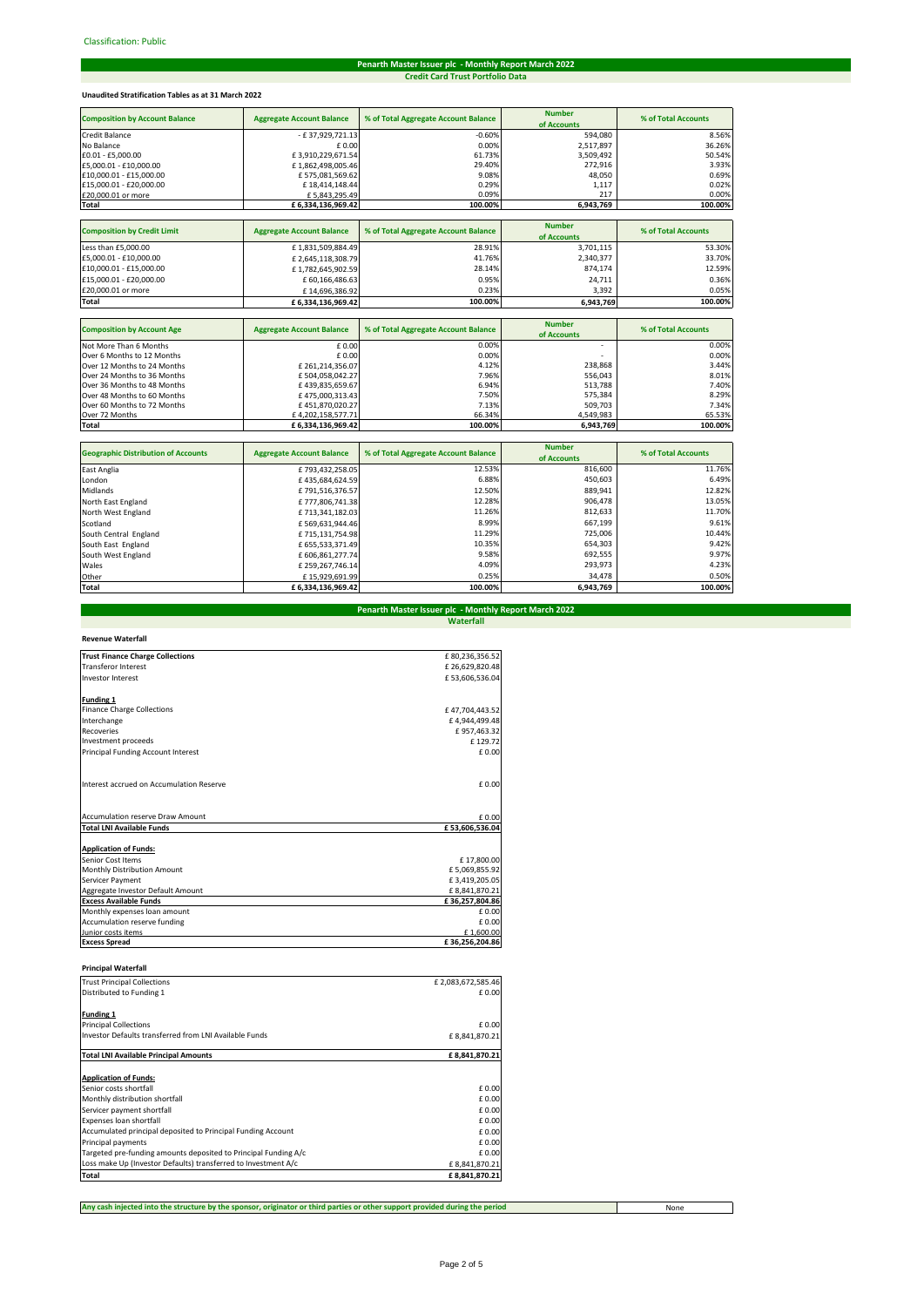# **Penarth Master Issuer plc - Monthly Report March 2022 Credit Card Trust Portfolio Data**

# **Unaudited Stratification Tables as at 31 March 2022**

| <b>Composition by Account Balance</b> | <b>Aggregate Account Balance</b> | % of Total Aggregate Account Balance | <b>Number</b><br>of Accounts | % of Total Accounts |
|---------------------------------------|----------------------------------|--------------------------------------|------------------------------|---------------------|
| <b>Credit Balance</b>                 | - £37,929,721.13                 | $-0.60%$                             | 594,080                      | 8.56%               |
| No Balance                            | £0.00                            | 0.00%                                | 2,517,897                    | 36.26%              |
| £0.01 - £5,000.00                     | £3,910,229,671.54                | 61.73%                               | 3,509,492                    | 50.54%              |
| £5,000.01 - £10,000.00                | £1,862,498,005.46                | 29.40%                               | 272,916                      | 3.93%               |
| £10,000.01 - £15,000.00               | £575,081,569.62                  | 9.08%                                | 48,050                       | 0.69%               |
| £15,000.01 - £20,000.00               | £18,414,148.44                   | 0.29%                                | 1,117                        | 0.02%               |
| £20,000.01 or more                    | £5,843,295.49                    | 0.09%                                | 217                          | 0.00%               |
| Total                                 | £ 6,334,136,969.42               | 100.00%                              | 6,943,769                    | 100.00%             |
|                                       |                                  |                                      |                              |                     |
| <b>Composition by Credit Limit</b>    | <b>Aggregate Account Balance</b> | % of Total Aggregate Account Balance | <b>Number</b>                | % of Total Accounts |
|                                       |                                  |                                      | of Accounts                  |                     |
| Less than £5,000.00                   | £1,831,509,884.49                | 28.91%                               | 3,701,115                    | 53.30%              |
| £5,000.01 - £10,000.00                | £2,645,118,308.79                | 41.76%                               | 2,340,377                    | 33.70%              |
| £10,000.01 - £15,000.00               | £1,782,645,902.59                | 28.14%                               | 874,174                      | 12.59%              |
| £15,000.01 - £20,000.00               | £ 60,166,486.63                  | 0.95%                                | 24,711                       | 0.36%               |
| £20,000.01 or more                    | £14,696,386.92                   | 0.23%                                | 3,392                        | 0.05%               |
| Total                                 | £ 6,334,136,969.42               | 100.00%                              | 6,943,769                    | 100.00%             |
|                                       |                                  |                                      |                              |                     |
| <b>Composition by Account Age</b>     | <b>Aggregate Account Balance</b> | % of Total Aggregate Account Balance | <b>Number</b><br>of Accounts | % of Total Accounts |
| Not More Than 6 Months                | £0.00                            | 0.00%                                |                              | 0.00%               |
| Over 6 Months to 12 Months            | $f$ 0.00                         | 0.00%                                |                              | 0.00%               |

|                             |                   |         | <b>UI ACCURRIS</b>       |         |
|-----------------------------|-------------------|---------|--------------------------|---------|
| Not More Than 6 Months      | £0.00             | 0.00%   | $\overline{\phantom{a}}$ | 0.00%   |
| Over 6 Months to 12 Months  | £0.00             | 0.00%   | -                        | 0.00%   |
| Over 12 Months to 24 Months | £261.214.356.07   | 4.12%   | 238.868                  | 3.44%   |
| Over 24 Months to 36 Months | £504.058.042.27   | 7.96%   | 556.043                  | 8.01%   |
| Over 36 Months to 48 Months | £439.835.659.67   | 6.94%   | 513.788                  | 7.40%   |
| Over 48 Months to 60 Months | £475.000.313.43   | 7.50%   | 575.384                  | 8.29%   |
| Over 60 Months to 72 Months | £451,870,020.27   | 7.13%   | 509.703                  | 7.34%   |
| Over 72 Months              | £4.202.158.577.71 | 66.34%  | 4.549.983                | 65.53%  |
| <b>Total</b>                | £6.334.136.969.42 | 100.00% | 6.943.769                | 100.00% |

| <b>Geographic Distribution of Accounts</b> | <b>Aggregate Account Balance</b> | % of Total Aggregate Account Balance | <b>Number</b> | % of Total Accounts |
|--------------------------------------------|----------------------------------|--------------------------------------|---------------|---------------------|
|                                            |                                  |                                      | of Accounts   |                     |
| East Anglia                                | £793,432,258.05                  | 12.53%                               | 816,600       | 11.76%              |
| London                                     | £435,684,624.59                  | 6.88%                                | 450.603       | 6.49%               |
| Midlands                                   | £791.516.376.57                  | 12.50%                               | 889,941       | 12.82%              |
| North East England                         | £777,806,741.38                  | 12.28%                               | 906,478       | 13.05%              |
| North West England                         | £713,341,182.03                  | 11.26%                               | 812,633       | 11.70%              |
| Scotland                                   | £569,631,944.46                  | 8.99%                                | 667,199       | 9.61%               |
| South Central England                      | £715,131,754.98                  | 11.29%                               | 725.006       | 10.44%              |
| South East England                         | £ 655,533,371.49                 | 10.35%                               | 654.303       | 9.42%               |
| South West England                         | £606.861.277.74                  | 9.58%                                | 692,555       | 9.97%               |
| Wales                                      | £259,267,746.14                  | 4.09%                                | 293,973       | 4.23%               |
| Other                                      | £15.929.691.99                   | 0.25%                                | 34.478        | 0.50%               |
| Total                                      | £6,334,136,969.42                | 100.00%                              | 6,943,769     | 100.00%             |

# **Waterfall Penarth Master Issuer plc - Monthly Report March 2022**

| <b>Revenue Waterfall</b>                 |                |
|------------------------------------------|----------------|
| <b>Trust Finance Charge Collections</b>  | £80,236,356.52 |
| <b>Transferor Interest</b>               | £26.629.820.48 |
| <b>Investor Interest</b>                 | £53,606,536.04 |
| Funding 1                                |                |
| <b>Finance Charge Collections</b>        | £47,704,443.52 |
| Interchange                              | £4.944.499.48  |
| <b>Recoveries</b>                        | £957,463.32    |
| Investment proceeds                      | £129.72        |
| Principal Funding Account Interest       | £ 0.00         |
| Interest accrued on Accumulation Reserve | £ 0.00         |
| <b>Accumulation reserve Draw Amount</b>  | £ 0.00         |
| <b>Total LNI Available Funds</b>         | £53,606,536.04 |
| <b>Application of Funds:</b>             |                |
| Senior Cost Items                        | £17,800.00     |
| Monthly Distribution Amount              | £5,069,855.92  |
| Servicer Payment                         | £3,419,205.05  |
| Aggregate Investor Default Amount        | £8,841,870.21  |
| <b>Excess Available Funds</b>            | £36,257,804.86 |
| Monthly expenses loan amount             | £ 0.00         |
| Accumulation reserve funding             | £ 0.00         |
| Junior costs items                       | £1,600.00      |
| <b>Excess Spread</b>                     | £36,256,204.86 |

| <b>Principal Waterfall</b>                                      |                   |
|-----------------------------------------------------------------|-------------------|
| <b>Trust Principal Collections</b>                              | £2,083,672,585.46 |
| Distributed to Funding 1                                        | £ 0.00            |
| <b>Funding 1</b>                                                |                   |
| <b>Principal Collections</b>                                    | £ 0.00            |
| Investor Defaults transferred from LNI Available Funds          | £8,841,870.21     |
| <b>Total LNI Available Principal Amounts</b>                    | £8,841,870.21     |
| <b>Application of Funds:</b>                                    |                   |
| Senior costs shortfall                                          | £ 0.00            |
| Monthly distribution shortfall                                  | £ 0.00            |
| Servicer payment shortfall                                      | £ 0.00            |
| Expenses loan shortfall                                         | £ 0.00            |
| Accumulated principal deposited to Principal Funding Account    | £ 0.00            |
| Principal payments                                              | £ 0.00            |
| Targeted pre-funding amounts deposited to Principal Funding A/c | £ 0.00            |
| Loss make Up (Investor Defaults) transferred to Investment A/c  | £8,841,870.21     |
| Total                                                           | £8.841.870.21     |

**Any cash injected into the structure by the sponsor, originator or third parties or other support provided during the period**

None

 $\sim$ 

al service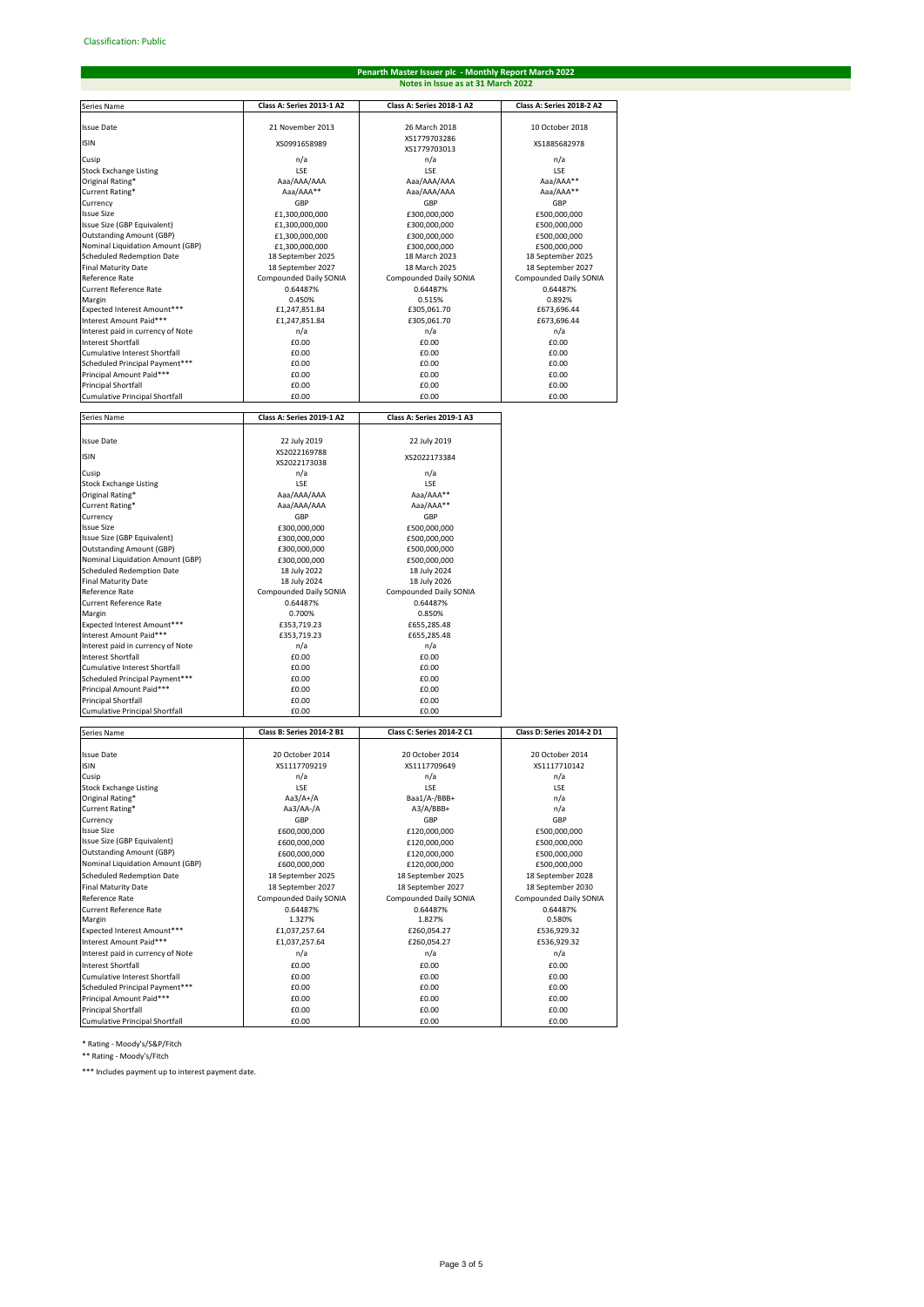# **Penarth Master Issuer plc - Monthly Report March 2022 Notes in Issue as at 31 March 2022**

| Series Name                                  | Class A: Series 2013-1 A2          | Class A: Series 2018-1 A2          | Class A: Series 2018-2 A2    |
|----------------------------------------------|------------------------------------|------------------------------------|------------------------------|
|                                              |                                    |                                    |                              |
| <b>Issue Date</b>                            | 21 November 2013                   | 26 March 2018                      | 10 October 2018              |
| <b>ISIN</b>                                  | XS0991658989                       | XS1779703286                       | XS1885682978                 |
|                                              |                                    | XS1779703013                       |                              |
| Cusip                                        | n/a                                | n/a                                | n/a                          |
| <b>Stock Exchange Listing</b>                | LSE                                | LSE                                | LSE                          |
| Original Rating*<br>Current Rating*          | Aaa/AAA/AAA                        | Aaa/AAA/AAA                        | Aaa/AAA**                    |
|                                              | Aaa/AAA**                          | Aaa/AAA/AAA                        | Aaa/AAA**                    |
| Currency<br><b>Issue Size</b>                | GBP                                | GBP                                | GBP                          |
| Issue Size (GBP Equivalent)                  | £1,300,000,000                     | £300,000,000                       | £500,000,000                 |
| <b>Outstanding Amount (GBP)</b>              | £1,300,000,000<br>£1,300,000,000   | £300,000,000<br>£300,000,000       | £500,000,000<br>£500,000,000 |
| Nominal Liquidation Amount (GBP)             | £1,300,000,000                     | £300.000.000                       | £500,000,000                 |
| Scheduled Redemption Date                    | 18 September 2025                  | 18 March 2023                      | 18 September 2025            |
| <b>Final Maturity Date</b>                   | 18 September 2027                  | 18 March 2025                      | 18 September 2027            |
| Reference Rate                               | Compounded Daily SONIA             | Compounded Daily SONIA             | Compounded Daily SONIA       |
| <b>Current Reference Rate</b>                | 0.64487%                           | 0.64487%                           | 0.64487%                     |
| Margin                                       | 0.450%                             | 0.515%                             | 0.892%                       |
| Expected Interest Amount***                  | £1,247,851.84                      | £305,061.70                        | £673,696.44                  |
| Interest Amount Paid***                      | £1,247,851.84                      | £305,061.70                        | £673,696.44                  |
| Interest paid in currency of Note            | n/a                                | n/a                                | n/a                          |
| <b>Interest Shortfall</b>                    | £0.00                              | £0.00                              | £0.00                        |
| Cumulative Interest Shortfall                | £0.00                              | £0.00                              | £0.00                        |
| Scheduled Principal Payment***               | £0.00                              | £0.00                              | £0.00                        |
| Principal Amount Paid***                     | £0.00                              | £0.00                              | £0.00                        |
| Principal Shortfall                          | £0.00                              | £0.00                              | £0.00                        |
| Cumulative Principal Shortfall               | £0.00                              | £0.00                              | £0.00                        |
|                                              |                                    |                                    |                              |
| Series Name                                  | Class A: Series 2019-1 A2          | Class A: Series 2019-1 A3          |                              |
|                                              |                                    |                                    |                              |
| <b>Issue Date</b>                            | 22 July 2019                       | 22 July 2019                       |                              |
| <b>ISIN</b>                                  | XS2022169788                       | XS2022173384                       |                              |
|                                              | XS2022173038                       |                                    |                              |
| Cusip                                        | n/a                                | n/a                                |                              |
| <b>Stock Exchange Listing</b>                | LSE                                | LSE                                |                              |
| Original Rating*                             | Aaa/AAA/AAA                        | Aaa/AAA**                          |                              |
| Current Rating*                              | Aaa/AAA/AAA                        | Aaa/AAA**                          |                              |
| Currency                                     | GBP                                | GBP                                |                              |
| <b>Issue Size</b>                            | £300,000,000                       | £500,000,000                       |                              |
| Issue Size (GBP Equivalent)                  | £300,000,000                       | £500,000,000                       |                              |
| <b>Outstanding Amount (GBP)</b>              | £300,000,000                       | £500,000,000                       |                              |
| Nominal Liquidation Amount (GBP)             | £300,000,000                       | £500,000,000                       |                              |
| Scheduled Redemption Date                    | 18 July 2022                       | 18 July 2024                       |                              |
| <b>Final Maturity Date</b><br>Reference Rate | 18 July 2024                       | 18 July 2026                       |                              |
|                                              | Compounded Daily SONIA<br>0.64487% | Compounded Daily SONIA<br>0.64487% |                              |
| Current Reference Rate<br>Margin             | 0.700%                             | 0.850%                             |                              |
| Expected Interest Amount***                  | £353,719.23                        | £655,285.48                        |                              |
| Interest Amount Paid***                      | £353,719.23                        | £655,285.48                        |                              |
| Interest paid in currency of Note            | n/a                                | n/a                                |                              |
| <b>Interest Shortfall</b>                    | £0.00                              | £0.00                              |                              |
| Cumulative Interest Shortfall                | £0.00                              | £0.00                              |                              |
| Scheduled Principal Payment***               | £0.00                              | £0.00                              |                              |
| Principal Amount Paid***                     | £0.00                              | £0.00                              |                              |
| <b>Principal Shortfall</b>                   | £0.00                              | £0.00                              |                              |
| Cumulative Principal Shortfall               | £0.00                              | £0.00                              |                              |
|                                              |                                    |                                    |                              |
| Series Name                                  | Class B: Series 2014-2 B1          | Class C: Series 2014-2 C1          | Class D: Series 2014-2 D1    |
|                                              |                                    |                                    |                              |
| <b>Issue Date</b>                            | 20 October 2014                    | 20 October 2014                    | 20 October 2014              |
| <b>ISIN</b>                                  | XS1117709219                       | XS1117709649                       | XS1117710142                 |
| Cusip                                        | n/a                                | n/a                                | n/a                          |
| <b>Stock Exchange Listing</b>                | <b>LSE</b>                         | <b>LSE</b>                         | LSE                          |
| Original Rating*                             | Aa3/A+/A                           | Baa1/A-/BBB+                       | n/a                          |
| Current Rating*                              | Aa3/AA-/A                          | A3/A/BBB+                          | n/a                          |
| Currency                                     | GBP                                | GBP                                | GBP                          |
| <b>Issue Size</b>                            | £600,000,000                       | £120,000,000                       | £500,000,000                 |
| Issue Size (GBP Equivalent)                  | £600,000,000                       | £120,000,000                       | £500,000,000                 |
| <b>Outstanding Amount (GBP)</b>              | £600,000,000                       | £120,000,000                       | £500,000,000                 |
| Nominal Liquidation Amount (GBP)             | £600,000,000                       | £120,000,000                       | £500,000,000                 |
| <b>Scheduled Redemption Date</b>             | 18 September 2025                  | 18 September 2025                  | 18 September 2028            |
| <b>Final Maturity Date</b>                   | 18 September 2027                  | 18 September 2027                  | 18 September 2030            |
| Reference Rate                               | Compounded Daily SONIA             | Compounded Daily SONIA             | Compounded Daily SONIA       |
| Current Reference Rate                       | 0.64487%                           | 0.64487%                           | 0.64487%                     |
| Margin                                       | 1.327%                             | 1.827%                             | 0.580%                       |
| Expected Interest Amount***                  | £1,037,257.64                      | £260,054.27                        | £536,929.32                  |
| Interest Amount Paid***                      | £1,037,257.64                      | £260,054.27                        | £536,929.32                  |
| Interest paid in currency of Note            | n/a                                | n/a                                | n/a                          |
| <b>Interest Shortfall</b>                    | £0.00                              | £0.00                              | £0.00                        |
| Cumulative Interest Shortfall                | £0.00                              | £0.00                              | £0.00                        |
| Scheduled Principal Payment***               | £0.00                              | £0.00                              | £0.00                        |
| Principal Amount Paid***                     | £0.00                              | £0.00                              | £0.00                        |
| <b>Principal Shortfall</b>                   | £0.00                              | £0.00                              | £0.00                        |
| Cumulative Principal Shortfall               | £0.00                              | £0.00                              | £0.00                        |

\* Rating - Moody's/S&P/Fitch

\*\* Rating - Moody's/Fitch

\*\*\* Includes payment up to interest payment date.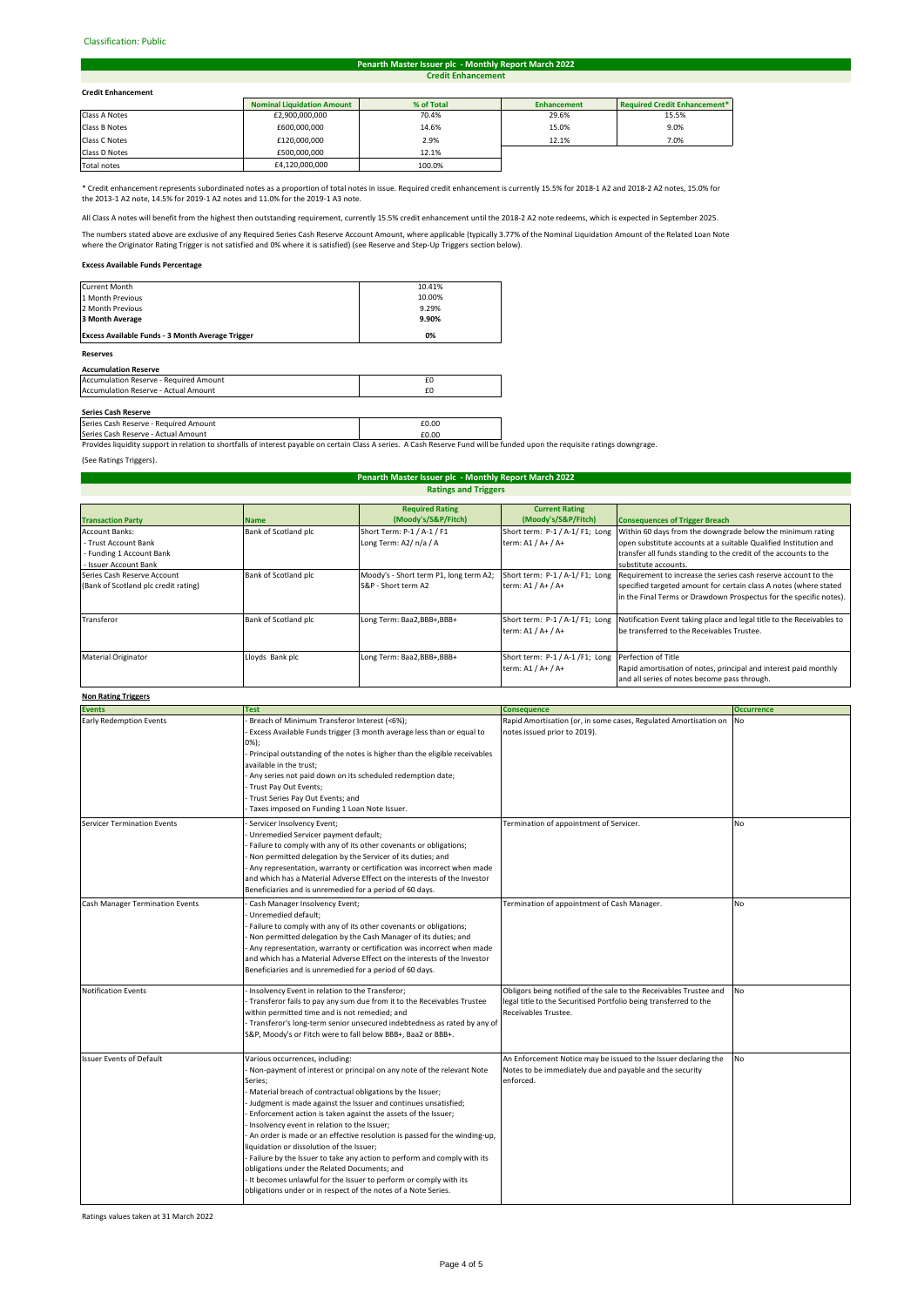#### Classification: Public#

#### **Credit Enhancement Penarth Master Issuer plc - Monthly Report March 2022**

## **Credit Enhancement**

| <b>Credit Enhancement</b> |                                   |            |                    |                                     |
|---------------------------|-----------------------------------|------------|--------------------|-------------------------------------|
|                           | <b>Nominal Liquidation Amount</b> | % of Total | <b>Enhancement</b> | <b>Required Credit Enhancement*</b> |
| Class A Notes             | £2,900,000,000                    | 70.4%      | 29.6%              | 15.5%                               |
| Class B Notes             | £600,000,000                      | 14.6%      | 15.0%              | 9.0%                                |
| Class C Notes             | £120,000,000                      | 2.9%       | 12.1%              | 7.0%                                |
| Class D Notes             | £500,000,000                      | 12.1%      |                    |                                     |
|                           |                                   |            |                    |                                     |

Total notes **E4,120,000,000** 100.0% 

\* Credit enhancement represents subordinated notes as a proportion of total notes in issue. Required credit enhancement is currently 15.5% for 2018-1 A2 and 2018-2 A2 notes, 15.0% for the 2013-1 A2 note, 14.5% for 2019-1 A2 notes and 11.0% for the 2019-1 A3 note.

All Class A notes will benefit from the highest then outstanding requirement, currently 15.5% credit enhancement until the 2018-2 A2 note redeems, which is expected in September 2025.

The numbers stated above are exclusive of any Required Series Cash Reserve Account Amount, where applicable (typically 3.77% of the Nominal Liquidation Amount of the Related Loan Note<br>where the Originator Rating Trigger is

# **Excess Available Funds Percentage**

| <b>Reserves</b>                                         |        |
|---------------------------------------------------------|--------|
| <b>Excess Available Funds - 3 Month Average Trigger</b> | 0%     |
| 3 Month Average                                         | 9.90%  |
| 2 Month Previous                                        | 9.29%  |
| 1 Month Previous                                        | 10.00% |
| Current Month                                           | 10.41% |

### **Accumulation Reserve**

| Accumulation Reserve - Required Amount      |  |
|---------------------------------------------|--|
| <b>Accumulation Reserve - Actual Amount</b> |  |
|                                             |  |

**Series Cash Reserve**<br>Series Cash Reserve - Required Amount **£0.00 Example 2.000 Example 2.000** 

Series Cash Reserve - Actual Amount<br>Provides liquidity support in relation to shortfalls of interest payable on certain Class A series. A Cash Reserve Fund will be funded upon the requisite ratings downgrage.

(See Ratings Triggers).

#### **Ratings and Triggers Penarth Master Issuer plc - Monthly Report March 2022**

|                                      |                      | <b>Required Rating</b>                 | <b>Current Rating</b>                               |                                                                                                      |
|--------------------------------------|----------------------|----------------------------------------|-----------------------------------------------------|------------------------------------------------------------------------------------------------------|
| <b>Transaction Party</b>             | <b>Name</b>          | (Moody's/S&P/Fitch)                    | (Moody's/S&P/Fitch)                                 | <b>Consequences of Trigger Breach</b>                                                                |
| <b>Account Banks:</b>                | Bank of Scotland plc | Short Term: P-1 / A-1 / F1             | Short term: P-1 / A-1/F1; Long                      | Within 60 days from the downgrade below the minimum rating                                           |
| - Trust Account Bank                 |                      | Long Term: A2/ n/a / A                 | term: A1 / A+ / A+                                  | open substitute accounts at a suitable Qualified Institution and                                     |
| - Funding 1 Account Bank             |                      |                                        |                                                     | transfer all funds standing to the credit of the accounts to the                                     |
| - Issuer Account Bank                |                      |                                        |                                                     | substitute accounts.                                                                                 |
| Series Cash Reserve Account          | Bank of Scotland plc | Moody's - Short term P1, long term A2; |                                                     | Short term: P-1/A-1/F1; Long Requirement to increase the series cash reserve account to the          |
| (Bank of Scotland plc credit rating) |                      | S&P - Short term A2                    | term: A1 / A+ / A+                                  | specified targeted amount for certain class A notes (where stated                                    |
|                                      |                      |                                        |                                                     | in the Final Terms or Drawdown Prospectus for the specific notes).                                   |
|                                      |                      |                                        |                                                     |                                                                                                      |
| Transferor                           | Bank of Scotland plc | Long Term: Baa2, BBB+, BBB+            |                                                     | Short term: P-1 / A-1/F1; Long Notification Event taking place and legal title to the Receivables to |
|                                      |                      |                                        | term: A1 / A+ / A+                                  | be transferred to the Receivables Trustee.                                                           |
|                                      |                      |                                        |                                                     |                                                                                                      |
| <b>Material Originator</b>           | Lloyds Bank plc      | Long Term: Baa2,BBB+,BBB+              | Short term: P-1 / A-1 /F1; Long Perfection of Title |                                                                                                      |
|                                      |                      |                                        | term: A1 / A+ / A+                                  | Rapid amortisation of notes, principal and interest paid monthly                                     |
|                                      |                      |                                        |                                                     | and all series of notes become pass through.                                                         |

# **Non Rating Triggers**

| ניספויי מיישטח ושיר                    |                                                                                                                                                                                                                                                                                                                                                                                                                                                                                                                                                                                                                                                                                                                                                                       |                                                                                                                                                                 |                   |
|----------------------------------------|-----------------------------------------------------------------------------------------------------------------------------------------------------------------------------------------------------------------------------------------------------------------------------------------------------------------------------------------------------------------------------------------------------------------------------------------------------------------------------------------------------------------------------------------------------------------------------------------------------------------------------------------------------------------------------------------------------------------------------------------------------------------------|-----------------------------------------------------------------------------------------------------------------------------------------------------------------|-------------------|
| <b>Events</b>                          | <b>Test</b>                                                                                                                                                                                                                                                                                                                                                                                                                                                                                                                                                                                                                                                                                                                                                           | <b>Consequence</b>                                                                                                                                              | <b>Occurrence</b> |
| <b>Early Redemption Events</b>         | Breach of Minimum Transferor Interest (<6%);<br>Excess Available Funds trigger (3 month average less than or equal to<br>$0\%$ );<br>- Principal outstanding of the notes is higher than the eligible receivables<br>available in the trust:<br>Any series not paid down on its scheduled redemption date;<br>- Trust Pay Out Events;<br>Trust Series Pay Out Events; and<br>Taxes imposed on Funding 1 Loan Note Issuer.                                                                                                                                                                                                                                                                                                                                             | Rapid Amortisation (or, in some cases, Regulated Amortisation on<br>notes issued prior to 2019).                                                                | <b>No</b>         |
| <b>Servicer Termination Events</b>     | Servicer Insolvency Event;<br>Unremedied Servicer payment default;<br>Failure to comply with any of its other covenants or obligations;<br>Non permitted delegation by the Servicer of its duties; and<br>Any representation, warranty or certification was incorrect when made<br>and which has a Material Adverse Effect on the interests of the Investor<br>Beneficiaries and is unremedied for a period of 60 days.                                                                                                                                                                                                                                                                                                                                               | Termination of appointment of Servicer.                                                                                                                         | <b>No</b>         |
| <b>Cash Manager Termination Events</b> | Cash Manager Insolvency Event;<br>Unremedied default;<br>Failure to comply with any of its other covenants or obligations;<br>Non permitted delegation by the Cash Manager of its duties; and<br>Any representation, warranty or certification was incorrect when made<br>and which has a Material Adverse Effect on the interests of the Investor<br>Beneficiaries and is unremedied for a period of 60 days.                                                                                                                                                                                                                                                                                                                                                        | Termination of appointment of Cash Manager.                                                                                                                     | No                |
| <b>Notification Events</b>             | - Insolvency Event in relation to the Transferor;<br>- Transferor fails to pay any sum due from it to the Receivables Trustee<br>within permitted time and is not remedied; and<br>- Transferor's long-term senior unsecured indebtedness as rated by any of<br>S&P, Moody's or Fitch were to fall below BBB+, Baa2 or BBB+.                                                                                                                                                                                                                                                                                                                                                                                                                                          | Obligors being notified of the sale to the Receivables Trustee and<br>legal title to the Securitised Portfolio being transferred to the<br>Receivables Trustee. | <b>No</b>         |
| <b>Issuer Events of Default</b>        | Various occurrences, including:<br>- Non-payment of interest or principal on any note of the relevant Note<br>Series;<br>- Material breach of contractual obligations by the Issuer;<br>Judgment is made against the Issuer and continues unsatisfied;<br>Enforcement action is taken against the assets of the Issuer;<br>Insolvency event in relation to the Issuer;<br>- An order is made or an effective resolution is passed for the winding-up,<br>liquidation or dissolution of the Issuer;<br>- Failure by the Issuer to take any action to perform and comply with its<br>obligations under the Related Documents; and<br>It becomes unlawful for the Issuer to perform or comply with its<br>obligations under or in respect of the notes of a Note Series. | An Enforcement Notice may be issued to the Issuer declaring the<br>Notes to be immediately due and payable and the security<br>enforced.                        | <b>No</b>         |

Ratings values taken at 31 March 2022